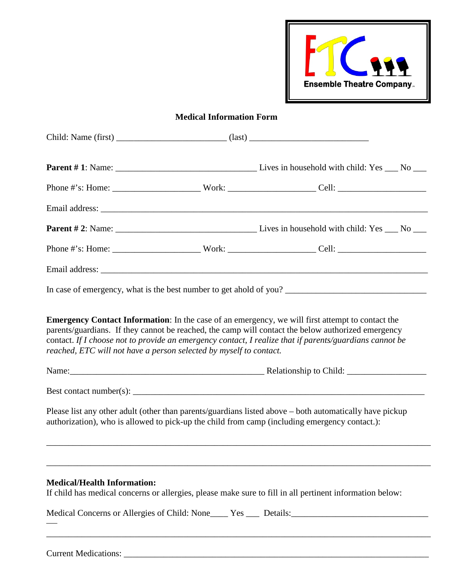

## **Medical Information Form**

|                                                                                                      | contact. If I choose not to provide an emergency contact, I realize that if parents/guardians cannot be<br>reached, ETC will not have a person selected by myself to contact.<br>Name: Name: Name: Name: Name: Name: Name: Name: Name: Name: Name: Name: Name: Name: Name: Name: Name: Name: Name: Name: Name: Name: Name: Name: Name: Name: Name: Name: Name: Name: Name: Name: Name: Name: Name: Name: Name: |                                                                                                                                                                                                          |  |  |  |
|------------------------------------------------------------------------------------------------------|----------------------------------------------------------------------------------------------------------------------------------------------------------------------------------------------------------------------------------------------------------------------------------------------------------------------------------------------------------------------------------------------------------------|----------------------------------------------------------------------------------------------------------------------------------------------------------------------------------------------------------|--|--|--|
|                                                                                                      |                                                                                                                                                                                                                                                                                                                                                                                                                |                                                                                                                                                                                                          |  |  |  |
|                                                                                                      |                                                                                                                                                                                                                                                                                                                                                                                                                | Please list any other adult (other than parents/guardians listed above – both automatically have pickup<br>authorization), who is allowed to pick-up the child from camp (including emergency contact.): |  |  |  |
|                                                                                                      |                                                                                                                                                                                                                                                                                                                                                                                                                |                                                                                                                                                                                                          |  |  |  |
| <b>Medical/Health Information:</b>                                                                   |                                                                                                                                                                                                                                                                                                                                                                                                                | If child has medical concerns or allergies, please make sure to fill in all pertinent information below:                                                                                                 |  |  |  |
| Medical Concerns or Allergies of Child: None____ Yes ___ Details:___________________________________ |                                                                                                                                                                                                                                                                                                                                                                                                                |                                                                                                                                                                                                          |  |  |  |
|                                                                                                      |                                                                                                                                                                                                                                                                                                                                                                                                                |                                                                                                                                                                                                          |  |  |  |